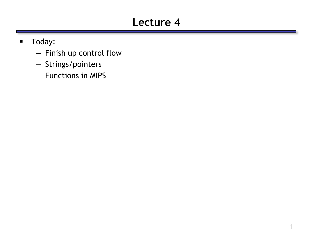# **Lecture 4**

- **Today:** 
	- Finish up control flow
	- Strings/pointers
	- Functions in MIPS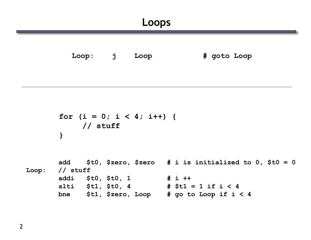**Loop: j Loop # goto Loop**

```
for (i = 0; i < 4; i++) {
   // stuff
}
```

```
add $t0, $zero, $zero # i is initialized to 0, $t0 = 0
Loop: // stuff
      addi $t0, $t0, 1 # i ++
      slti $t1, $t0, 4 # $t1 = 1 if i < 4
      bne $t1, $zero, Loop # go to Loop if i < 4
```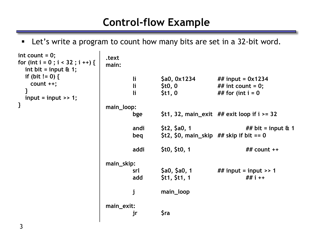#### **Control-flow Example**

Let's write a program to count how many bits are set in a 32-bit word.

```
.text
                        main:
                               li $a0, 0x1234 ## input = 0x1234
                               li $t0, 0 ## int count = 0;
                               li $t1, 0 ## for (int i = 0 
                        main_loop:
                               bge $t1, 32, main_exit ## exit loop if i >= 32 
                               andi $t2, $a0, 1 ## bit = input & 1
                               beq $t2, $0, main_skip ## skip if bit == 0
                               addi $t0, $t0, 1 ## count ++
                        main_skip:
                               srl $a0, $a0, 1 ## input = input >> 1
                               add $t1, $t1, 1 ## i ++
                               j main_loop
                        main_exit:
                               jr $ra
int count = 0;
for (int i = 0 ; i < 32 ; i ++) {
  int bit = input & 1;
 if (bit != 0) {
   count ++;
  }
 input = input >> 1;
}
```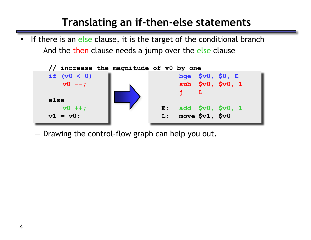## **Translating an if-then-else statements**

If there is an else clause, it is the target of the conditional branch

— And the then clause needs a jump over the else clause



— Drawing the control-flow graph can help you out.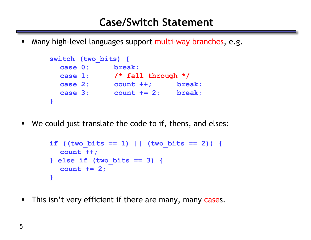**Many high-level languages support multi-way branches, e.g.** 

```
switch (two_bits) {
 case 0: break;
 case 1: /* fall through */
 case 2: count ++; break;
 case 3: count += 2; break;
}
```
We could just translate the code to if, thens, and elses:

```
if ((two bits == 1) || (two bits == 2)) {
  count ++;
} else if (two_bits == 3) {
  count += 2; 
}
```
**This isn't very efficient if there are many, many cases.**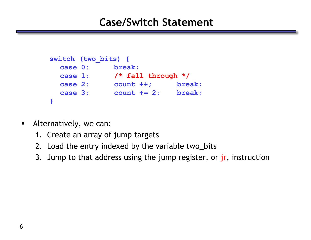#### **Case/Switch Statement**

```
switch (two_bits) {
 case 0: break;
 case 1: /* fall through */
 case 2: count ++; break;
 case 3: count += 2; break;
}
```
- Alternatively, we can:
	- 1. Create an array of jump targets
	- 2. Load the entry indexed by the variable two\_bits
	- 3. Jump to that address using the jump register, or jr, instruction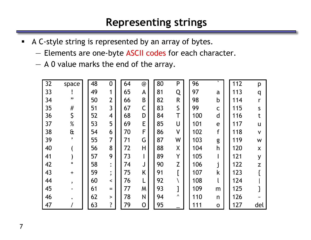#### **Representing strings**

- A C-style string is represented by an array of bytes.
	- Elements are one-byte ASCII codes for each character.
	- A 0 value marks the end of the array.

| 32 | space        | 48 | 0                         | 64 | $\circledcirc$ | 80 | P            | 96  | $\mathbf{v}$ | 112 | p            |
|----|--------------|----|---------------------------|----|----------------|----|--------------|-----|--------------|-----|--------------|
| 33 |              | 49 | 1                         | 65 | A              | 81 | Q            | 97  | a            | 113 | q            |
| 34 | ,,           | 50 | $\overline{2}$            | 66 | B              | 82 | $\mathsf{R}$ | 98  | $\mathsf b$  | 114 |              |
| 35 | $\#$         | 51 | $\overline{3}$            | 67 | $\mathsf C$    | 83 | $\mathsf{S}$ | 99  | $\mathsf C$  | 115 | $\mathsf{S}$ |
| 36 | \$           | 52 | $\overline{\mathcal{A}}$  | 68 | D              | 84 | Τ            | 100 | d            | 116 |              |
| 37 | $\%$         | 53 | 5                         | 69 | E              | 85 | U            | 101 | e            | 117 | u            |
| 38 | $\mathbf{a}$ | 54 | 6                         | 70 | F              | 86 | $\mathsf{V}$ | 102 | f            | 118 | $\mathsf{V}$ |
| 39 | $\mathbf{v}$ | 55 | 7                         | 71 | G              | 87 | W            | 103 | g            | 119 | W            |
| 40 |              | 56 | 8                         | 72 | H              | 88 | X            | 104 | h            | 120 | X            |
| 41 |              | 57 | 9                         | 73 |                | 89 | Y            | 105 |              | 121 | y            |
| 42 | $\star$      | 58 | $\bullet$                 | 74 | J              | 90 | Z            | 106 | п            | 122 | Z            |
| 43 | $\ddot{}$    | 59 | $\bullet$<br>$\mathbf{v}$ | 75 | K              | 91 |              | 107 | k            | 123 |              |
| 44 | ,            | 60 | $\prec$                   | 76 |                | 92 |              | 108 |              | 124 |              |
| 45 |              | 61 | $=$                       | 77 | M              | 93 |              | 109 | m            | 125 |              |
| 46 |              | 62 | $\geq$                    | 78 | N              | 94 | $\lambda$    | 110 | n            | 126 |              |
| 47 |              | 63 | ?                         | 79 | $\mathsf{O}$   | 95 |              | 111 | $\mathbf O$  | 127 | del          |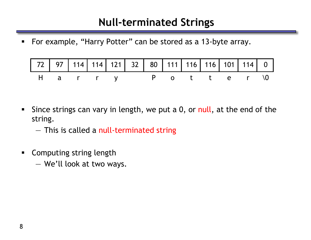#### **Null-terminated Strings**

■ For example, "Harry Potter" can be stored as a 13-byte array.

| 72 97 114 114 121 32 80 111 116 116 101 114 0 |  |  |  |  |  |  |
|-----------------------------------------------|--|--|--|--|--|--|
| Harry Potter\0                                |  |  |  |  |  |  |

Since strings can vary in length, we put a 0, or null, at the end of the string.

— This is called a null-terminated string

- **EXECOMPUTE COMPUTE:** Computing string length
	- We'll look at two ways.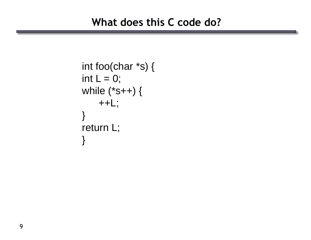```
int foo(char *s) { 
int L = 0;
while (*s++) { 
    ++L;} 
return L; 
}
```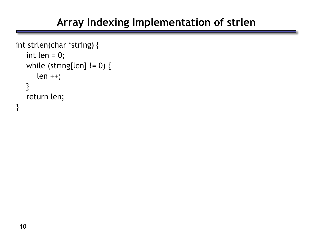# **Array Indexing Implementation of strlen**

```
int strlen(char *string) {
   int len = 0;
   while (string[len] != 0) {
      len ++;
   }
   return len;
}
```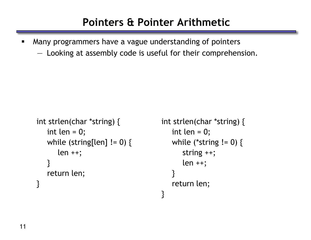# **Pointers & Pointer Arithmetic**

 Many programmers have a vague understanding of pointers — Looking at assembly code is useful for their comprehension.

```
int strlen(char *string) {
   int len = 0;
   while (string[len] != 0) {
      len ++;
   }
   return len;
}
```

```
int strlen(char *string) {
   int len = 0;
   while (*string != 0) {
      string ++;
      len ++;
   }
   return len;
}
```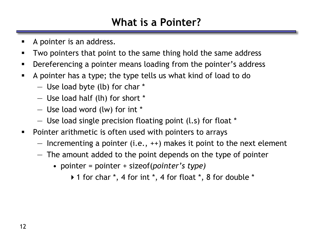#### **What is a Pointer?**

- A pointer is an address.
- **Two pointers that point to the same thing hold the same address**
- **Dereferencing a pointer means loading from the pointer's address**
- A pointer has a type; the type tells us what kind of load to do
	- Use load byte (lb) for char \*
	- Use load half (lh) for short \*
	- Use load word (lw) for int \*
	- Use load single precision floating point (l.s) for float \*
- **Pointer arithmetic is often used with pointers to arrays** 
	- $-$  Incrementing a pointer (i.e.,  $++$ ) makes it point to the next element
	- The amount added to the point depends on the type of pointer
		- pointer = pointer + sizeof(*pointer's type)*
			- 1 for char \*, 4 for int \*, 4 for float \*, 8 for double \*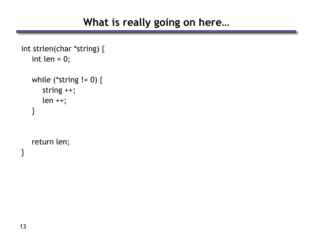```
int strlen(char *string) {
   int len = 0;
   while (*string != 0) {
      string ++;
      len ++;
   }
   return len;
```
}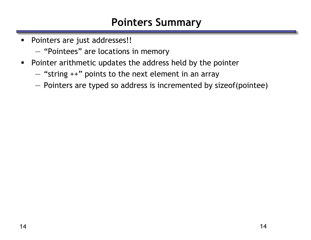#### **Pointers Summary**

- **Pointers are just addresses!!** 
	- "Pointees" are locations in memory
- **Pointer arithmetic updates the address held by the pointer** 
	- "string ++" points to the next element in an array
	- Pointers are typed so address is incremented by sizeof(pointee)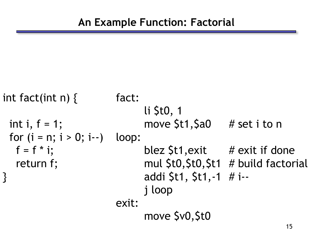```
int fact(int n) \{ fact:
                         li $t0, 1
 int i, f = 1; move St1, Sa0 # set i to n
 for (i = n; i > 0; i--) loop:
  f = f * i; blez St1, exit # exit if done
  return f; The Mull $t0,$t0,$t1 # build factorial
                         } addi $t1, $t1,-1 # i--
                         j loop
                    exit:
                         move $v0,$t0
```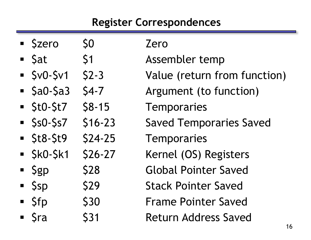# **Register Correspondences**

| · Szero                            | S <sub>O</sub> | Zero                           |
|------------------------------------|----------------|--------------------------------|
| $\blacksquare$ Sat                 | \$1            | Assembler temp                 |
| $SVD-Sv1$                          | $$2-3$         | Value (return from function)   |
| $\overline{\phantom{a}}$ \$a0-\$a3 | $54 - 7$       | Argument (to function)         |
| $\overline{\phantom{a}}$ StO-St7   | $$8-15$        | Temporaries                    |
| $\sim$ \$s0-\$s7                   | $$16-23$       | <b>Saved Temporaries Saved</b> |
| $\overline{\phantom{1}}$ \$t8-\$t9 | $$24-25$       | <b>Temporaries</b>             |
| $\overline{\phantom{1}}$ \$kO-\$k1 | $$26-27$       | Kernel (OS) Registers          |
| $\overline{\phantom{a}}$ \$gp      | <b>\$28</b>    | <b>Global Pointer Saved</b>    |
| $\overline{\phantom{a}}$ Ssp       | <b>\$29</b>    | <b>Stack Pointer Saved</b>     |
| <b>Sfp</b>                         | \$30           | <b>Frame Pointer Saved</b>     |
| ■ Sra                              | <b>S31</b>     | <b>Return Address Saved</b>    |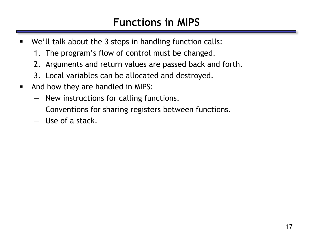# **Functions in MIPS**

- We'll talk about the 3 steps in handling function calls:
	- 1. The program's flow of control must be changed.
	- 2. Arguments and return values are passed back and forth.
	- 3. Local variables can be allocated and destroyed.
- **And how they are handled in MIPS:** 
	- New instructions for calling functions.
	- Conventions for sharing registers between functions.
	- Use of a stack.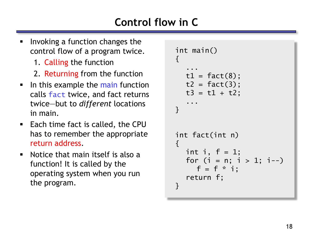# **Control flow in C**

- Invoking a function changes the control flow of a program twice.
	- 1. Calling the function
	- 2. Returning from the function
- In this example the main function calls fact twice, and fact returns twice—but to *different* locations in main.
- Each time fact is called, the CPU has to remember the appropriate return address.
- Notice that main itself is also a function! It is called by the operating system when you run the program.

```
int main()
{f}...
  t1 = fact(8);t2 = fact(3);t3 = t1 + t2;...
}
int fact(int n)
\{int i, f = 1;
  for (i = n; i > 1; i--)f = f * i;return f;
}
```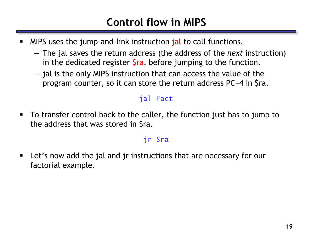# **Control flow in MIPS**

- MIPS uses the jump-and-link instruction jal to call functions.
	- The jal saves the return address (the address of the *next* instruction) in the dedicated register  $\frac{1}{2}$ ra, before jumping to the function.
	- jal is the only MIPS instruction that can access the value of the program counter, so it can store the return address PC+4 in \$ra.

#### jal Fact

 To transfer control back to the caller, the function just has to jump to the address that was stored in \$ra.

#### jr \$ra

 Let's now add the jal and jr instructions that are necessary for our factorial example.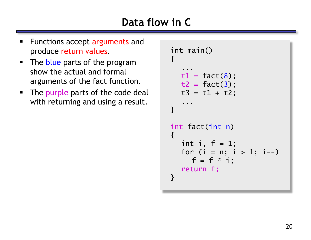# **Data flow in C**

- Functions accept arguments and produce return values.
- The blue parts of the program show the actual and formal arguments of the fact function.
- The purple parts of the code deal with returning and using a result.

```
int main()
{f}...
  t1 = fact(8);t2 = fact(3);t3 = t1 + t2;...
}
int fact(int n)
{f}int i, f = 1;
  for (i = n; i > 1; i--)f = f * i;return f;
}
```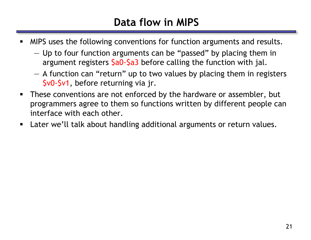# **Data flow in MIPS**

- **MIPS** uses the following conventions for function arguments and results.
	- Up to four function arguments can be "passed" by placing them in argument registers  $\frac{2a}{a}$  before calling the function with jal.
	- A function can "return" up to two values by placing them in registers \$v0-\$v1, before returning via jr.
- These conventions are not enforced by the hardware or assembler, but programmers agree to them so functions written by different people can interface with each other.
- Later we'll talk about handling additional arguments or return values.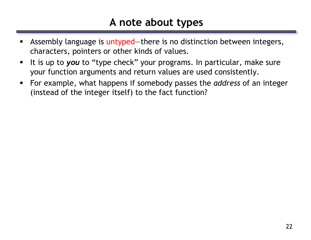#### **A note about types**

- Assembly language is untyped—there is no distinction between integers, characters, pointers or other kinds of values.
- It is up to you to "type check" your programs. In particular, make sure your function arguments and return values are used consistently.
- For example, what happens if somebody passes the *address* of an integer (instead of the integer itself) to the fact function?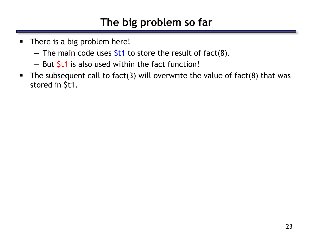# **The big problem so far**

- There is a big problem here!
	- The main code uses  $$t1$  to store the result of fact(8).
	- $-$  But  $$t1$  is also used within the fact function!
- The subsequent call to fact(3) will overwrite the value of fact(8) that was stored in \$t1.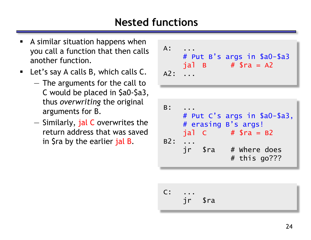## **Nested functions**

- A similar situation happens when you call a function that then calls another function.
- **E** Let's say A calls B, which calls C.
	- The arguments for the call to C would be placed in \$a0-\$a3, thus *overwriting* the original arguments for B.
	- Similarly, jal C overwrites the return address that was saved in \$ra by the earlier jal B.

| $A$ :<br>A2: |                              | # Put B's args in \$a0-\$a3<br>$j$ al B # \$ra = A2 |
|--------------|------------------------------|-----------------------------------------------------|
|              |                              |                                                     |
| B:           | # erasing B's args!<br>jal C | # Put C's args in \$a0-\$a3,<br>$#$ Sra = B2        |

B2: ...  
\n
$$
jr
$$
 \$ra # where does  
\n $#$  this go???

 $C:$ jr \$ra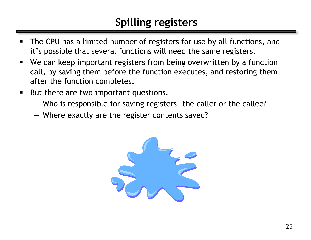# **Spilling registers**

- The CPU has a limited number of registers for use by all functions, and it's possible that several functions will need the same registers.
- We can keep important registers from being overwritten by a function call, by saving them before the function executes, and restoring them after the function completes.
- **But there are two important questions.** 
	- Who is responsible for saving registers—the caller or the callee?
	- Where exactly are the register contents saved?

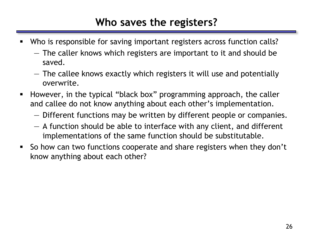#### **Who saves the registers?**

- Who is responsible for saving important registers across function calls?
	- The caller knows which registers are important to it and should be saved.
	- The callee knows exactly which registers it will use and potentially overwrite.
- **However, in the typical "black box" programming approach, the caller** and callee do not know anything about each other's implementation.
	- Different functions may be written by different people or companies.
	- A function should be able to interface with any client, and different implementations of the same function should be substitutable.
- So how can two functions cooperate and share registers when they don't know anything about each other?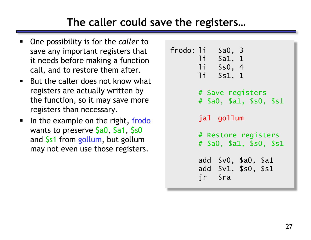# **The caller could save the registers…**

- One possibility is for the *caller* to save any important registers that it needs before making a function call, and to restore them after.
- $\blacksquare$  But the caller does not know what registers are actually written by the function, so it may save more registers than necessary.
- In the example on the right, frodo wants to preserve \$a0, \$a1, \$s0 and \$s1 from gollum, but gollum may not even use those registers.

```
frodo: li $a0, 3
      li $a1, 1
      li $s0, 4
      li $s1, 1
      # Save registers
      # $a0, $a1, $s0, $s1
      jal gollum
      # Restore registers
      # $a0, $a1, $s0, $s1
      add $v0, $a0, $a1
      add $v1, $s0, $s1
      jr $ra
```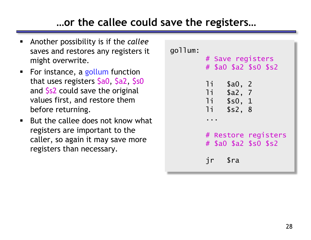### **…or the callee could save the registers…**

- Another possibility is if the *callee* saves and restores any registers it might overwrite.
- For instance, a gollum function that uses registers \$a0, \$a2, \$s0 and \$s2 could save the original values first, and restore them before returning.
- $\blacksquare$  But the callee does not know what registers are important to the caller, so again it may save more registers than necessary.

gollum: # Save registers # \$a0 \$a2 \$s0 \$s2 li \$a0, 2 li \$a2, 7 li \$s0, 1 li \$s2, 8 ... # Restore registers # \$a0 \$a2 \$s0 \$s2 jr \$ra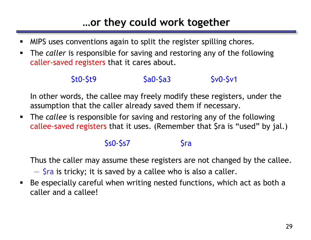# **…or they could work together**

- MIPS uses conventions again to split the register spilling chores.
- The *caller* is responsible for saving and restoring any of the following caller-saved registers that it cares about.

#### \$t0-\$t9 \$a0-\$a3 \$v0-\$v1

In other words, the callee may freely modify these registers, under the assumption that the caller already saved them if necessary.

 The *callee* is responsible for saving and restoring any of the following callee-saved registers that it uses. (Remember that \$ra is "used" by jal.)

#### $$s0-$s7$   $$ra$

Thus the caller may assume these registers are not changed by the callee.

 $-$  \$ra is tricky; it is saved by a callee who is also a caller.

 Be especially careful when writing nested functions, which act as both a caller and a callee!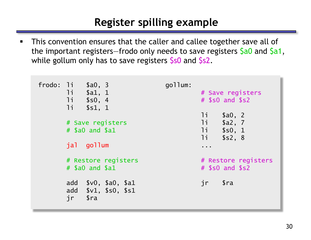### **Register spilling example**

**This convention ensures that the caller and callee together save all of** the important registers–frodo only needs to save registers \$a0 and \$a1, while gollum only has to save registers \$s0 and \$s2.

| frodo: $1i$ \$a0, 3<br>11<br>\$a1, 1<br>11<br>\$s0, 4<br>11<br>\$s1, 1                  | gollum: | # Save registers<br>$#$ \$s0 and \$s2                            |  |  |
|-----------------------------------------------------------------------------------------|---------|------------------------------------------------------------------|--|--|
| # Save registers<br>$#$ \$a0 and \$a1                                                   |         | li<br>\$a0, 2<br>11<br>\$a2, 7<br>1i<br>\$s0, 1<br>11<br>\$s2, 8 |  |  |
| jal gollum                                                                              |         | .                                                                |  |  |
| # Restore registers<br>$#$ \$a0 and \$a1                                                |         | # Restore registers<br>$#$ \$s0 and \$s2                         |  |  |
| \$v0, \$a0, \$a1<br>add<br>add $$v1, $s0, $s1$<br>jr<br>$\operatorname{\mathfrak{Sra}}$ |         | $\operatorname{\mathfrak{S}ra}$<br>jr                            |  |  |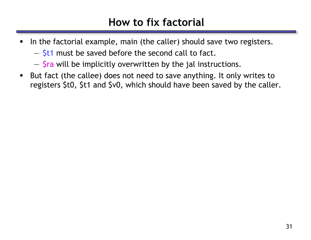#### **How to fix factorial**

- In the factorial example, main (the caller) should save two registers.
	- $-$  \$t1 must be saved before the second call to fact.
	- \$ra will be implicitly overwritten by the jal instructions.
- But fact (the callee) does not need to save anything. It only writes to registers \$t0, \$t1 and \$v0, which should have been saved by the caller.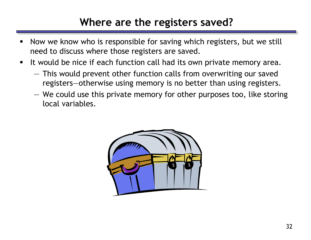#### **Where are the registers saved?**

- **Now we know who is responsible for saving which registers, but we still** need to discuss where those registers are saved.
- It would be nice if each function call had its own private memory area.
	- This would prevent other function calls from overwriting our saved registers—otherwise using memory is no better than using registers.
	- We could use this private memory for other purposes too, like storing local variables.

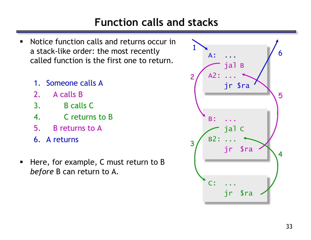## **Function calls and stacks**

- Notice function calls and returns occur in a stack-like order: the most recently called function is the first one to return.
	- 1. Someone calls A
	- 2. A calls B
	- 3. B calls C
	- 4. C returns to B
	- 5. B returns to A
	- 6. A returns
- Here, for example, C must return to B *before* B can return to A.

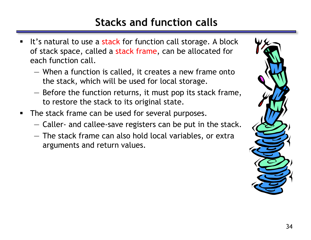# **Stacks and function calls**

- It's natural to use a stack for function call storage. A block of stack space, called a stack frame, can be allocated for each function call.
	- When a function is called, it creates a new frame onto the stack, which will be used for local storage.
	- Before the function returns, it must pop its stack frame, to restore the stack to its original state.
- The stack frame can be used for several purposes.
	- Caller- and callee-save registers can be put in the stack.
	- The stack frame can also hold local variables, or extra arguments and return values.

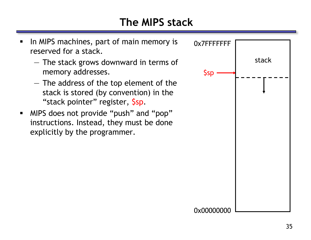# **The MIPS stack**

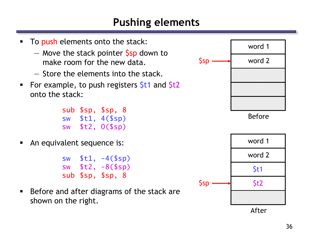#### **Pushing elements**

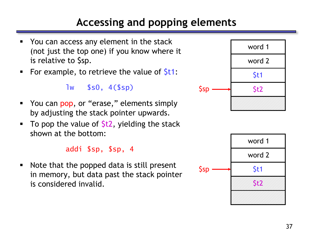# **Accessing and popping elements**

- You can access any element in the stack (not just the top one) if you know where it is relative to \$sp.
- For example, to retrieve the value of  $St1$ :

lw \$s0, 4(\$sp)

- You can pop, or "erase," elements simply by adjusting the stack pointer upwards.
- To pop the value of  $$t2$ , yielding the stack shown at the bottom:

addi \$sp, \$sp, 4

• Note that the popped data is still present in memory, but data past the stack pointer is considered invalid.